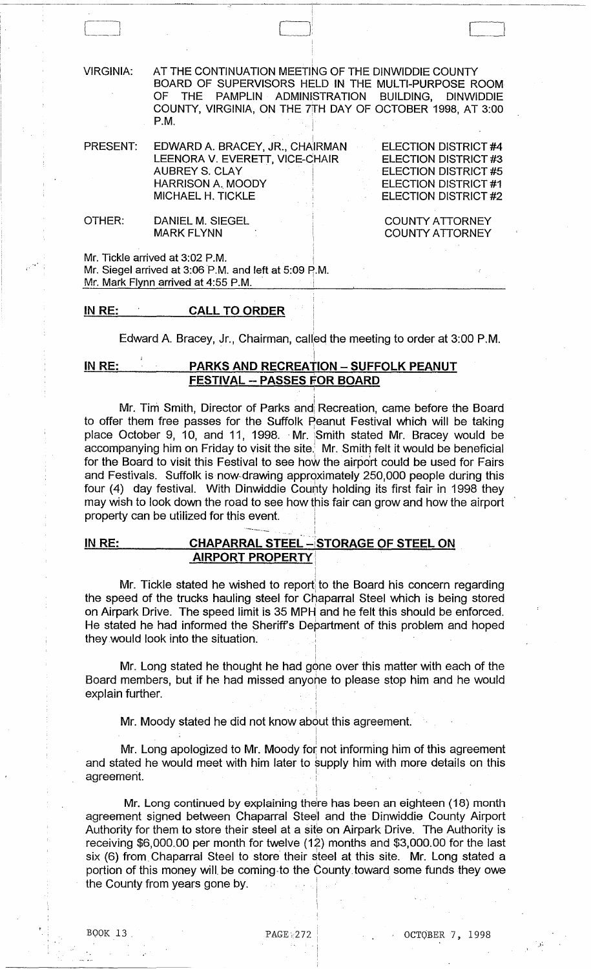VIRGINIA: AT THE CONTINUATION MEETING OF THE DINWIDDIE COUNTY BOARD OF SUPERVISORS HELD IN THE MULTI-PURPOSE ROOM THE PAMPLIN ADMINISTRATION BUILDING, DINWIDDIE COUNTY, VIRGINIA, ON THE 7jfH DAY OF OCTOBER 1998, AT 3:00 P.M.

 $\Box$ 

.<br>PRESENT: EDWARD A. BRACEY, JR., CHA<sup>I</sup>RMAN LEENORA V. EVERETT, VICE-CHAIR AUBREY S. CLAY HARRISON A. MOODY MICHAEL H. TICKLE ELECTION DISTRICT #4 ELECTION DISTRICT #3 ELECTION DISTRICT #5 ELECTION DISTRICT #1 ELECTION DISTRICT #2

OTHER: DANIEL M. SIEGEL MARK FLYNN

COUNTY ATTORNEY COUNTY ATTORNEY

Mr. Tickle arrived at 3:02 P.M.

Mr. Siegel arrived at 3:06 P.M. and left at 5:09 P.M. Mr. Mark Flynn arrived at 4:55 P.M.

### IN RE: CALL TO ORDER

i Edward A. Bracey, Jr., Chairman, called the meeting to order at 3:00 P.M.

I

### i IN RE: PARKS AND RECREATION - SUFFOLK PEANUT FESTIVAL -- PASSES FOR BOARD

Mr. Tim Smith, Director of Parks and Recreation, came before the Board to offer them free passes for the Suffolk Peanut Festival which will be taking place October 9, 10, and 11, 1998. Mr. Smith stated Mr. Bracey would be accompanying him on Friday to visit the site. Mr. Smith felt it would be beneficial for the Board to visit this Festival to see how the airport could be used for Fairs and Festivals. Suffolk is now drawing approximately 250,000 people during this four (4) day festival. With Dinwiddie County holding its first fair in 1998 they may wish to look down the road to see how this fair can grow and how the airport property can be utilized for this event. I

I I

i

i

# IN RE: CHAPARRAL STEEL - STORAGE OF STEEL ON **AIRPORT PROPERTY**

Mr. Tickle stated he wished to report to the Board his concern regarding the speed of the trucks hauling steel for Chaparral Steel which is being stored on Airpark Drive. The speed limit is 35 MPH and he felt this should be enforced. He stated he had informed the Sheriff's Department of this problem and hoped they would look into the situation. .

I Mr. Long stated he thought he had gone over this matter with each of the Board members, but if he had missed anyone to please stop him and he would explain further.

i Mr. Moody stated he did not know about this agreement.

 $\mathbf{I} = \left\{ \begin{array}{ll} 1, & \mathbf{I} & \mathbf{I} \\ \mathbf{I} & \mathbf{I} & \mathbf{I} \end{array} \right\}$ 

Mr. Long apologized to Mr. Moody for not informing him of this agreement and stated he would meet with him later to supply him with more details on this agreement. Board members, but if he had missed anyone to please stop him a<br>explain further.<br>Mr. Moody stated he did not know about this agreement.<br>Mr. Long apologized to Mr. Moody for not informing him of th<br>and stated he would meet

 $\ddot{\ddot{\ } }$ 

i Mr. Long continued by explaining there has been an eighteen (18) month agreement signed between Chaparral Steel and the Dinwiddie County Airport Authority for them to store their steel at a site on Airpark Drive. The Authority is receiving \$6,000.00 per month for twelve (12) months and \$3,000.00 for the last six (6) from Chaparral Steel to store their steel at this site. Mr. Long stated a portion of this money will. be coming·to the County toward some funds they owe the County from years gone by.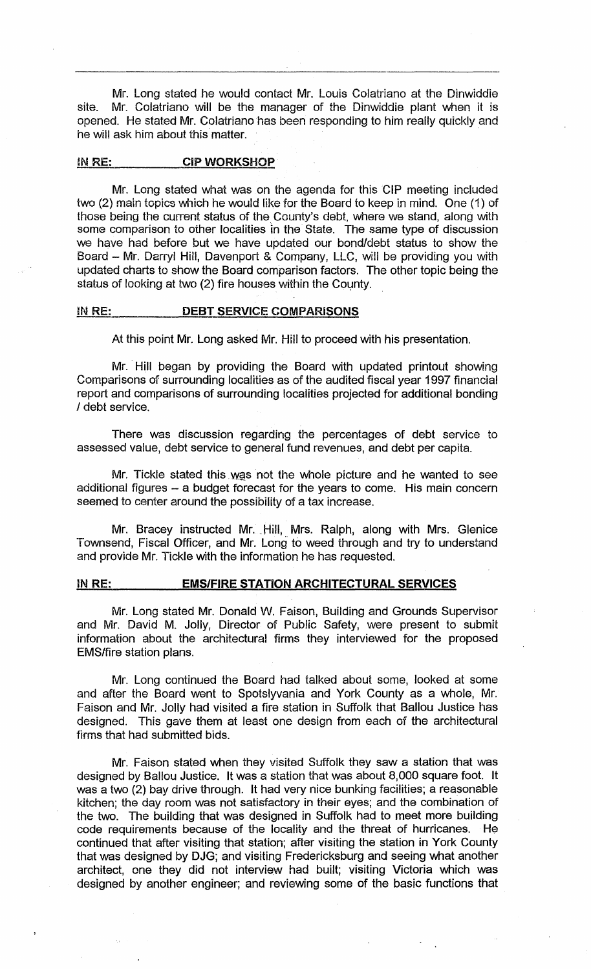Mr. Long stated he would contact Mr. Louis Colatriano at the Dinwiddie site. Mr. Colatriano will be the manager of the Dinwiddie plant when it is opened. He stated Mr. Colatriano has been responding to him really quickly and he will ask him about this matter.

### IN RE: CIP WORKSHOP

Mr. Long stated what was on the agenda for this GIP meeting included two (2) main topics which he would like for the Board to keep in mind. One (1) of those being the current status of the County's debt, where we stand, along with some comparison to other localities in the State. The same type of discussion we have had before but we have updated our bond/debt status to show the Board - Mr. Darryl Hill, Davenport & Company, LLC, will be providing you with updated charts to show the Board comparison factors. The other topic being the status of looking at two (2) fire houses within the County.

#### IN RE: DEBT SERVICE COMPARISONS

At this point Mr. Long asked Mr. Hill to proceed with his presentation.

Mr. Hill began by providing the Board with updated printout showing Comparisons of surrounding localities as of the audited fiscal year 1997 financial report and comparisons of surrounding localities projected for additional bonding / debt service.

There was discussion regarding the percentages of debt service to assessed value, debt service to general fund revenues, and debt per capita.

Mr. Tickle stated this was not the whole picture and he wanted to see additional figures - a budget forecast for the years to come. His main concern seemed to center around the possibility of a tax increase.

Mr. Bracey instructed Mr. Hill, Mrs. Ralph, along with Mrs. Glenice Townsend, Fiscal Officer, and Mr. Long to weed through and try to understand and provide Mr. Tickle with the information he has requested.

#### IN RE: EMS/FIRE STATION ARCHITECTURAL SERVICES

Mr. Long stated Mr. Donald W. Faison, Building and Grounds Supervisor and Mr. David M. Jolly, Director of Public Safety, were present to submit information about the architectural firms they interviewed for the proposed EMS/fire station plans.

Mr. Long continued the Board had talked about some, looked at some and after the Board went to Spotslyvania and York County as a whole, Mr. Faison and Mr. Jolly had visited a fire station in Suffolk that Ballou Justice has designed. This gave them at least one design from each of the architectural firms that had submitted bids.

Mr. Faison stated when they visited Suffolk they saw a station that was designed by Ballou Justice. It was a station that was about 8,000 square foot. It was a two (2) bay drive through. It had very nice bunking facilities; a reasonable kitchen; the day room was not satisfactory in their eyes; and the combination of the two. The building that was designed in Suffolk had to meet more building code requirements because of the locality and the threat of hurricanes. He continued that after visiting that station; after visiting the station in York County that was designed by DJG; and visiting Fredericksburg and seeing what another architect, one they did not interview had built; visiting Victoria which was designed by another engineer; and reviewing some of the basic functions that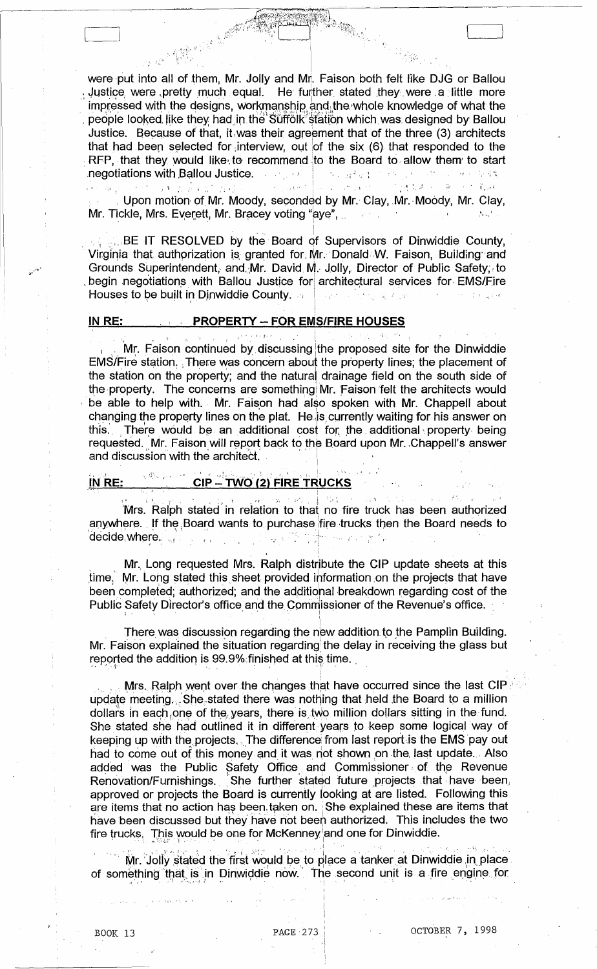were put into all of them, Mr. Jolly and Mr. Faison both felt like DJG or Ballou Justice were pretty much equal. He further stated they were a little more impressed with the designs, workmanship and the whole knowledge of what the people looked like they had in the Suffolk station which was designed by Ballou Justice. Because of that, it was their agreement that of the three (3) architects that had been selected for interview, out of the six (6) that responded to the RFP, that they would like to recommend to the Board to allow them to start negotiations with Ballou Justice. The proof of the server of the proof of the state

医碘苯基亚胺 网络经过 化乙醇抗毒 经一条人民 輸取  $1.9 - 1.2 - 1.2 - 1.2$ Upon motion of Mr. Moody, seconded by Mr. Clay, Mr. Moody, Mr. Clay, Mr. Tickle, Mrs. Everett, Mr. Bracey voting "aye",  $\mathcal{L}^{(1)}$  ,  $\mathcal{L}^{(1)}$ 

**EXTIBE IT RESOLVED by the Board of Supervisors of Dinwiddie County,** Virginia that authorization is granted for Mr. Donald W. Faison, Building and Grounds Superintendent, and Mr. David M. Jolly, Director of Public Safety, to begin negotiations with Ballou Justice for architectural services for EMS/Fire Houses to be built in Dinwiddie County. **College** 

#### IN RE: **EXAMPLE PROPERTY -- FOR EMS/FIRE HOUSES**

 $\label{eq:3} \begin{split} \frac{1}{2} \sum_{\substack{1 \leq j \leq 2 \\ j \leq 2 \\ j \leq 2 \\ j \leq 2 \\ j \leq 2 \\ j \leq 2 \\ j \leq 2 \\ j \leq 2 \\ j \leq 2 \\ j \leq 2 \\ j \leq 2 \\ j \leq 2 \\ j \leq 2 \\ j \leq 2 \\ j \leq 2 \\ j \leq 2 \\ j \leq 2 \\ j \leq 2 \\ j \leq 2 \\ j \leq 2 \\ j \leq 2 \\ j \leq 2 \\ j \leq 2 \\ j \leq 2 \\ j \leq 2 \\ j \leq 2 \\ j \leq 2 \\ j$ 

2. 医牙根粉 2. 15 Mr. Faison continued by discussing the proposed site for the Dinwiddie EMS/Fire station. There was concern about the property lines; the placement of the station on the property; and the natural drainage field on the south side of the property. The concerns are something Mr. Faison felt the architects would be able to help with. Mr. Faison had also spoken with Mr. Chappell about changing the property lines on the plat. He is currently waiting for his answer on this. There would be an additional cost for the additional property being requested. Mr. Faison will report back to the Board upon Mr. Chappell's answer and discussion with the architect.

Specific Admira

#### $\sqrt{d} \mathcal{G}_{\mathcal{O}^{\mathcal{G}}(\mathfrak{g})}(\mathfrak{g}) \longrightarrow \mathfrak{h}$ CIP - TWO (2) FIRE TRUCKS IN RE:

Mrs. Ralph stated in relation to that no fire truck has been authorized anywhere. If the Board wants to purchase fire trucks then the Board needs to decide where. المراريس والمتحلة

Mr. Long requested Mrs. Ralph distribute the CIP update sheets at this time. Mr. Long stated this sheet provided information on the projects that have been completed: authorized: and the additional breakdown regarding cost of the Public Safety Director's office and the Commissioner of the Revenue's office.

There was discussion regarding the new addition to the Pamplin Building. Mr. Faison explained the situation regarding the delay in receiving the glass but reported the addition is 99.9% finished at this time.

Mrs. Ralph went over the changes that have occurred since the last CIP update meeting. She stated there was nothing that held the Board to a million dollars in each one of the years, there is two million dollars sitting in the fund. She stated she had outlined it in different years to keep some logical way of keeping up with the projects. The difference from last report is the EMS pay out had to come out of this money and it was not shown on the last update. Also added was the Public Safety Office and Commissioner of the Revenue Renovation/Furnishings. She further stated future projects that have been. approved or projects the Board is currently looking at are listed. Following this are items that no action has been taken on. She explained these are items that have been discussed but they have not been authorized. This includes the two fire trucks. This would be one for McKenney and one for Dinwiddie.

Mr. Jolly stated the first would be to place a tanker at Dinwiddie in place of something that is in Dinwiddie now. The second unit is a fire engine for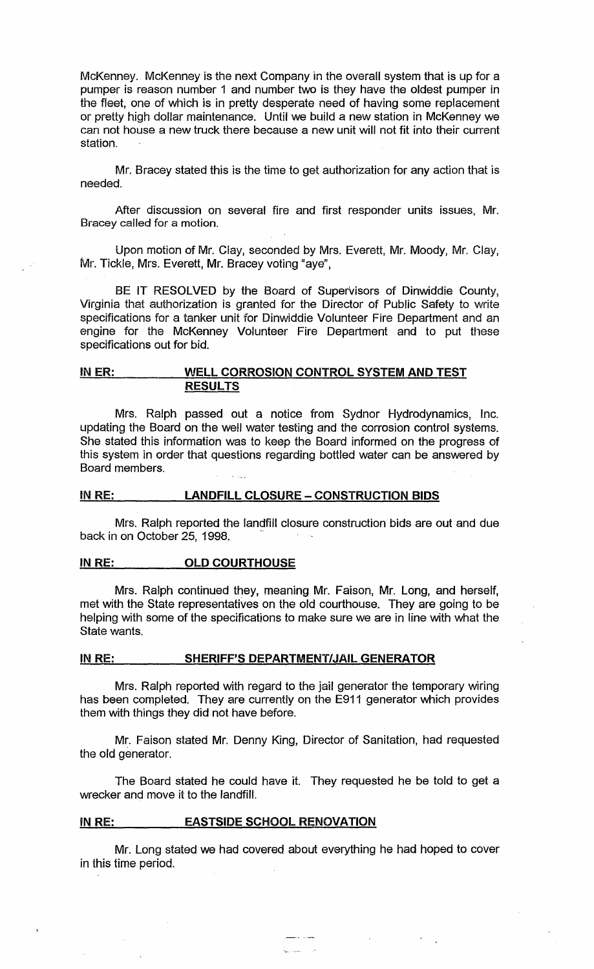McKenney. McKenney is the next Company in the overall system that is up for a pumper is reason number 1 and number two is they have the oldest pumper in the fleet, one of which is in pretty desperate need of having some replacement or pretty high dollar maintenance. Until we build a new station in McKenney we can not house a new truck there because a new unit will not fit into their current station.

Mr. Bracey stated this is the time to get authorization for any action that is needed.

After discussion on several fire and first responder units issues, Mr. Bracey called for a motion.

Upon motion of Mr. Clay, seconded by Mrs. Everett, Mr. Moody, Mr. Clay, Mr. Tickle, Mrs. Everett, Mr. Bracey voting "aye",

BE IT RESOLVED by the Board of Supervisors of Dinwiddie County, Virginia that authorization is granted for the Director of Public Safety to write specifications for a tanker unit for Dinwiddie Volunteer Fire Department and an engine for the McKenney Volunteer Fire Department and to put these specifications out for bid.

### IN ER: WELL CORROSION CONTROL SYSTEM AND TEST **RESULTS**

Mrs. Ralph passed out a notice from Sydnor Hydrodynamics, Inc. updating the Board on the well water testing and the corrosion control systems. She stated this information was to keep the Board informed on the progress of this system in order that questions regarding bottled water can be answered by Board members.

#### IN RE: LANDFILL CLOSURE - CONSTRUCTION BIDS

Mrs. Ralph reported the landfill closure construction bids are out and due back in on October 25, 1998.

#### IN RE: OLD COURTHOUSE

Mrs. Ralph continued they, meaning Mr. Faison, Mr. Long, and herself, met with the State representatives on the old courthouse. They are going to be helping with some of the specifications to make sure we are in line with what the State wants.

#### IN RE: SHERIFF'S DEPARTMENT/JAIL GENERATOR

Mrs. Ralph reported with regard to the jail generator the temporary wiring has been completed. They are currently on the E911 generator which provides them with things they did not have before.

Mr. Faison stated Mr. Denny King, Director of Sanitation, had requested the old generator.

The Board stated he could have it. They requested he be told to get a wrecker and move it to the landfill.

#### IN RE: EASTSIDE SCHOOL RENOVATION

Mr. Long stated we had covered about everything he had hoped to cover in this time period.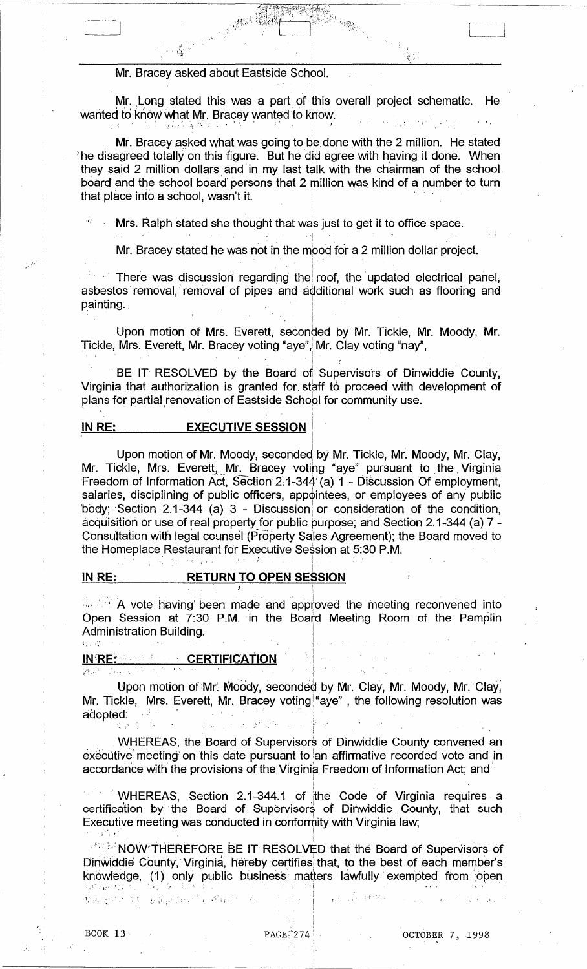### Mr. Bracey asked about Eastside School.

., "

Mr. Long stated this was a part of this overall project schematic. He Mr. Long stated this was a part of this overall project schemativanted to know.<br>wanted to know what Mr. Bracey wanted to know.  $\label{eq:3.1} \left\langle \left\langle \mathbf{r} \right\rangle \right\rangle ^{2} = \left\langle \left\langle \mathbf{r} \right\rangle \right\rangle ^{2} \left\langle \left\langle \mathbf{r} \right\rangle \right\rangle ^{2} \left\langle \left\langle \mathbf{r} \right\rangle \right\rangle ^{2} \left\langle \mathbf{r} \right\rangle ^{2}$ 

Mr. Bracey asked what was going to be done with the 2 million. He stated  $\theta$  he disagreed totally on this figure. But he did agree with having it done. When they said 2 million dollars and in my last talk with the chairman of the school board and the school board persons that 2 million was kind of a number to turn that place into a school, wasn't it.

Mrs. Ralph stated she thought that was just to get it to office space.

Mr. Bracey stated he was not in the mpod for a 2 million dollar project.

There was discussion regarding the roof, the updated electrical panel, asbestos removal, removal of pipes and additional work such as flooring and painting.

Upon motion of Mrs. Everett, seconded by Mr. Tickle, Mr. Moody, Mr. Tickle, Mrs. Everett, Mr. Bracey voting "aye", Mr. Clay voting "nay",

, i.e.  $\mathbb{R}^n$ 

i • 1 • • BE IT RESOLVED by the Board of Supervisors of Dinwiddie County, Virginia that authorization is granted for. staff to proceed with development of plans for partial renovation of Eastside School for community use.

## **IN RE:** EXECUTIVE SESSION

.<br>Upon motion of Mr. Moody, seconded by Mr. Tickle, Mr. Moody, Mr. Clay, Mr. Tickle, Mrs. Everett, Mr. Bracey votihg "aye" pursuant to the, Virginia Freedom of Information ACt, 'Section 2;1-344' (a) 1 - Discussion Of employment, salaries, disciplining of public officers, appointees, or employees of any public Upon motion of Mr. Moody, seconded by Mr. Tickle, Mr. Moody, Mr. Clay,<br>Mr. Tickle, Mrs. Everett, Mr. Bracey voting "aye" pursuant to the Virginia<br>Freedom of Information Act, Section 2.1-344 (a) 1 - Discussion Of employment Consultation with legal counsel (Property Sales Agreement); the Board moved to the Homeplace Restaurant for Executive Session at 5:30 P.M.

# <u>IN RE: RETURN TO OPEN SESSION</u>

 $\mathcal{L}(\mathcal{S},\mathcal{I})=\mathcal{N}(\mathcal{S},\mathcal{I})=\mathcal{N}(\mathcal{S},\mathcal{I})=\mathcal{N}(\mathcal{S},\mathcal{I})=\mathcal{N}(\mathcal{I})=\mathcal{N}(\mathcal{I})$ 

 $\sim$  . A vote having been made and approved the meeting reconvened into Open Session at 7:30 P.M. in the Board Meeting Room of the Pamplin<br>
Administration Building.<br>
IN RE:<br>
Upon motion of Mr. Moody, seconded by Mr. Clay, Mr. Moody, Mr. Clay,<br>
Mr. Tialdo - Mrs. Fuscal Mr. Pressy unting "pus" t Administration Building.  $t_{i}$  ,  $t_{i}$  ,  $t_{i}$  ,  $t_{i}$  ,  $t_{i}$  ,  $t_{i}$  ,  $t_{i}$  ,  $t_{i}$  ,  $t_{i}$  ,  $t_{i}$  ,  $t_{i}$  ,  $t_{i}$  ,  $t_{i}$  ,  $t_{i}$ 

I

I  $\cdot$  1 i.

#### IN RE: **CERTIFICATION**

I , 1.

Upon motion of Mr. Moody, seconded by Mr. Clay, Mr. Moody, Mr. Clay, Mr. Tickle, Mrs. Everett, Mr. Bracey voting "aye",the following resolution was<br>adopted:

WHEREAS, the Board of Supervisors of Dinwiddie County convened an executive meeting on this date pursuant to an affirmative recorded vote and in accordance with the provisions of the Virginia Freedom of Information Act; and

WHEREAS, Section 2.1-344.1 of the Code of Virginia requires a certification by the Board of Supervisors of Dinwiddie County, that such Executive meeting was conducted in conformity with Virginia law,

I

**WE MOW THEREFORE BE IT RESOLVED that the Board of Supervisors of** Dinwiddie County, Virginia, hereby certifies that, to the best of each member's knowledge, (1) only public business matters lawfully exempted from open Executive meeting was conducted in contomity with virginia raw,<br>
NOW THEREFORE BE IT RESOLVED that the Board of Supervisors of<br>
Dinwiddle County, Virginia, hereby certifies that, to the best of each member's<br>
showledge, (1